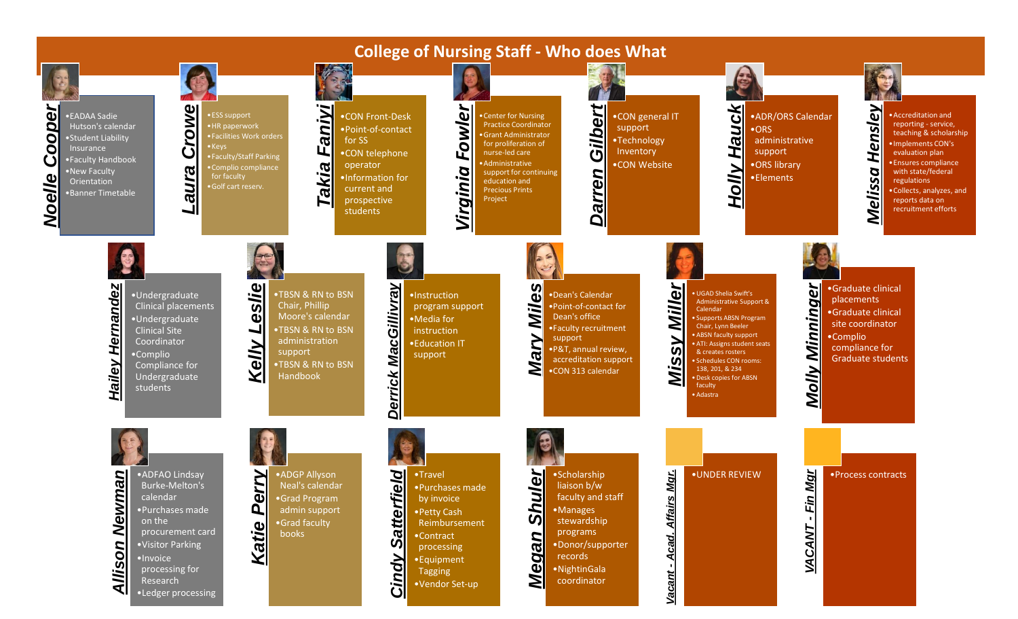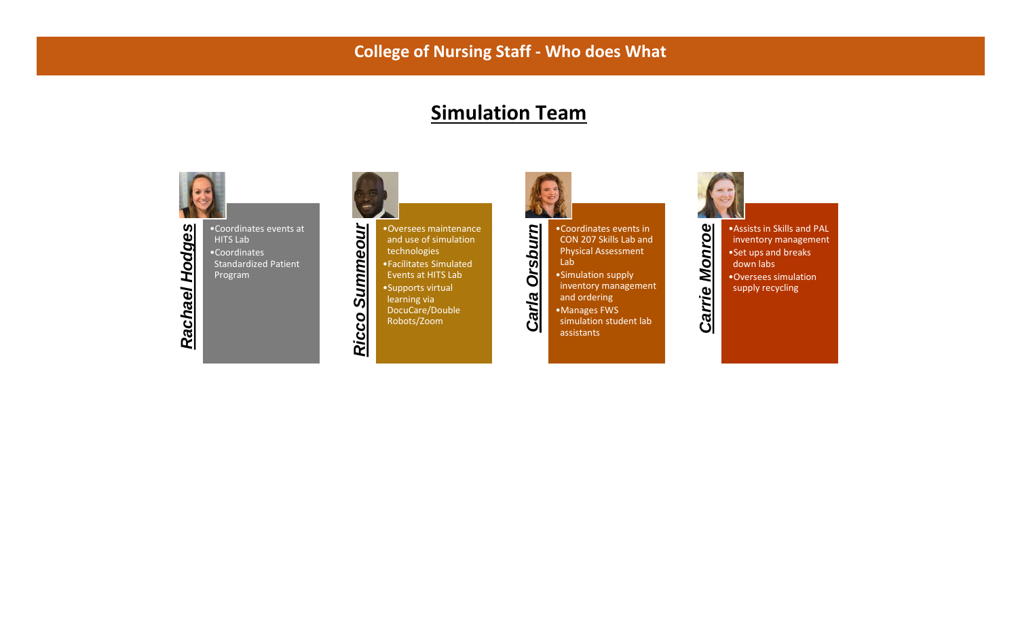## **Simulation Team**



Rachael Hodges •Coordinates events at *Rachael Hodges* HITS Lab •Coordinates Standardized Patient Program



Ricco

•Oversees maintenance and use of simulation technologies •Facilitates Simulated Events at HITS Lab •Supports virtual learning via DocuCare/Double Robots/Zoom



•Coordinates events in CON 207 Skills Lab and Physical Assessment

Lab •Simulation supply inventory management and ordering •Manages FWS simulation student lab assistants



*Carrie Monroe* •Assists in Skills and PAL inventory management •Set ups and breaks down labs •Oversees simulation supply recycling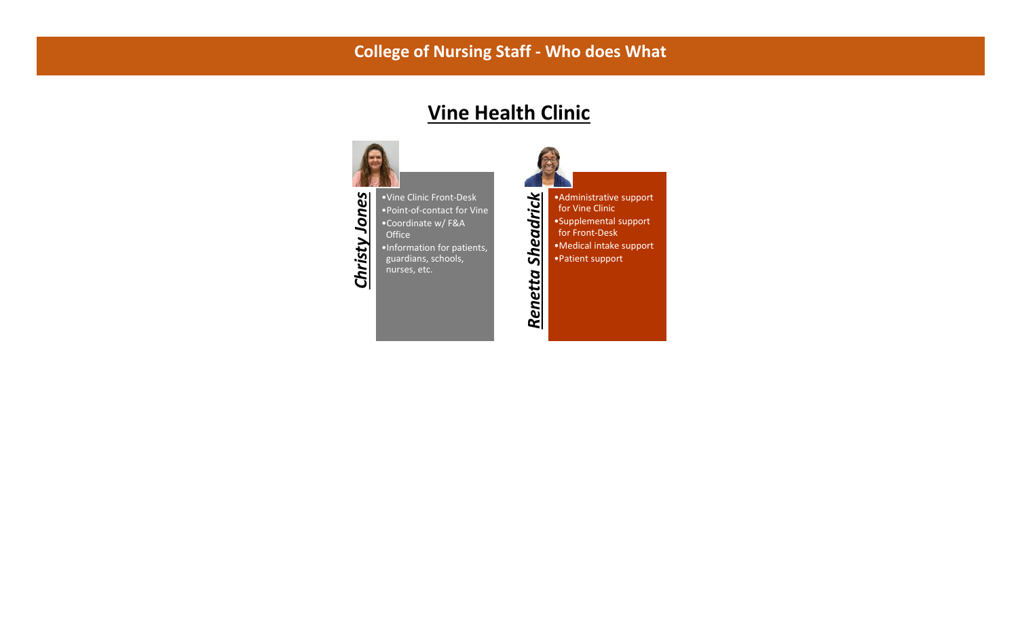## **Vine Health Clinic**